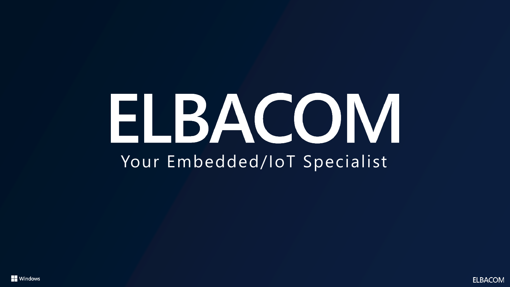## ELBACOM Your Embedded/IoT Specialist